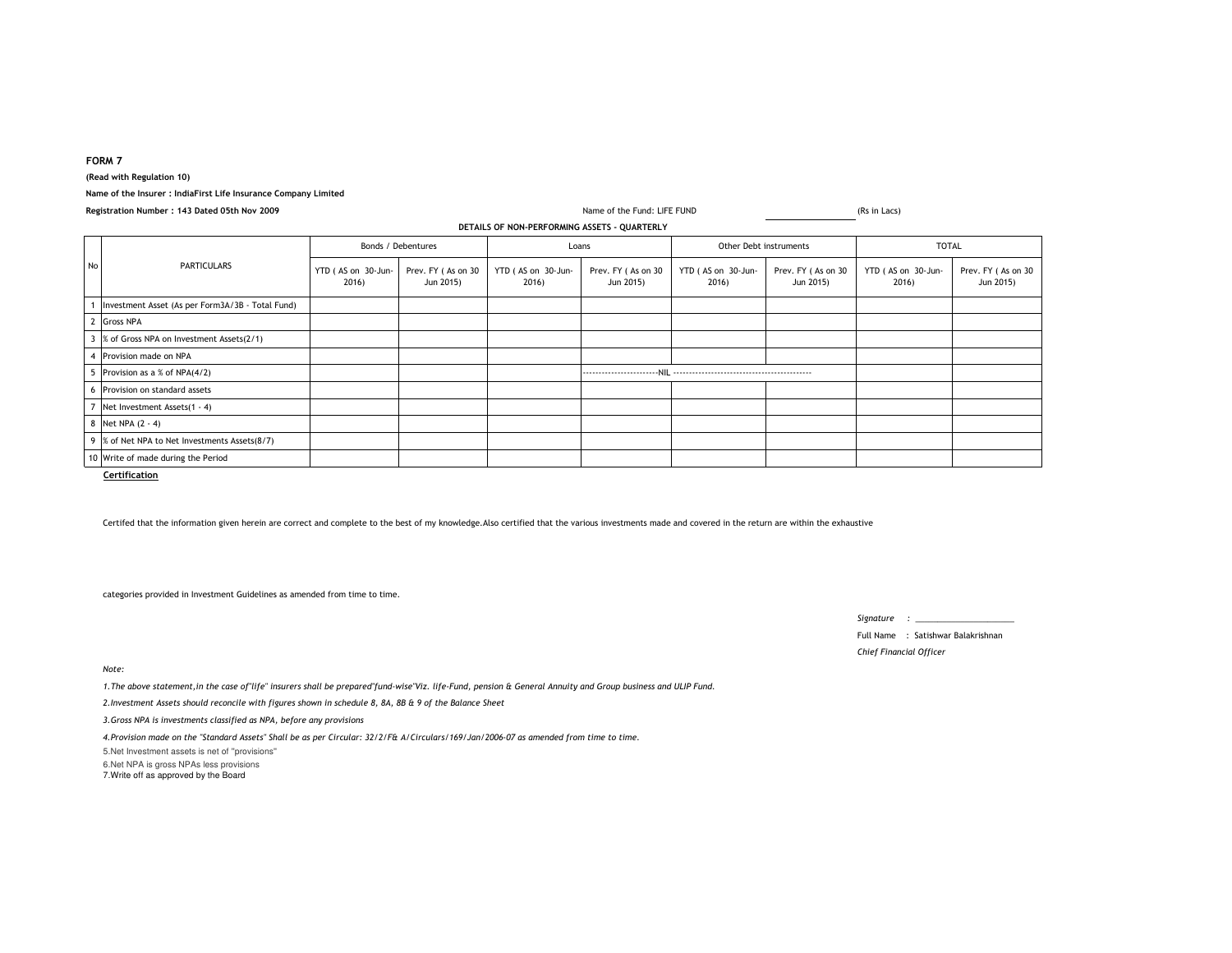# **FORM 7**

**(Read with Regulation 10)**

## **Name of the Insurer : IndiaFirst Life Insurance Company Limited**

| Registration Number: 143 Dated 05th Nov 2009 |                                                  |                             |                                 | Name of the Fund: LIFE FUND                  |                                 | (Rs in Lacs)                |                                 |                             |                                 |
|----------------------------------------------|--------------------------------------------------|-----------------------------|---------------------------------|----------------------------------------------|---------------------------------|-----------------------------|---------------------------------|-----------------------------|---------------------------------|
|                                              |                                                  |                             |                                 | DETAILS OF NON-PERFORMING ASSETS - QUARTERLY |                                 |                             |                                 |                             |                                 |
| No                                           | <b>PARTICULARS</b>                               | Bonds / Debentures          |                                 | Loans                                        |                                 | Other Debt instruments      |                                 | <b>TOTAL</b>                |                                 |
|                                              |                                                  | YTD (AS on 30-Jun-<br>2016) | Prev. FY (As on 30<br>Jun 2015) | YTD (AS on 30-Jun-<br>2016)                  | Prev. FY (As on 30<br>Jun 2015) | YTD (AS on 30-Jun-<br>2016) | Prev. FY (As on 30<br>Jun 2015) | YTD (AS on 30-Jun-<br>2016) | Prev. FY (As on 30<br>Jun 2015) |
|                                              | Investment Asset (As per Form3A/3B - Total Fund) |                             |                                 |                                              |                                 |                             |                                 |                             |                                 |
|                                              | 2 Gross NPA                                      |                             |                                 |                                              |                                 |                             |                                 |                             |                                 |
|                                              | 3 % of Gross NPA on Investment Assets(2/1)       |                             |                                 |                                              |                                 |                             |                                 |                             |                                 |
|                                              | 4 Provision made on NPA                          |                             |                                 |                                              |                                 |                             |                                 |                             |                                 |
|                                              | 5 Provision as a % of NPA(4/2)                   |                             |                                 |                                              |                                 |                             |                                 |                             |                                 |
|                                              | 6 Provision on standard assets                   |                             |                                 |                                              |                                 |                             |                                 |                             |                                 |
|                                              | 7 Net Investment Assets(1 - 4)                   |                             |                                 |                                              |                                 |                             |                                 |                             |                                 |
|                                              | 8 Net NPA (2 - 4)                                |                             |                                 |                                              |                                 |                             |                                 |                             |                                 |
|                                              | 9 % of Net NPA to Net Investments Assets(8/7)    |                             |                                 |                                              |                                 |                             |                                 |                             |                                 |
|                                              | 10 Write of made during the Period               |                             |                                 |                                              |                                 |                             |                                 |                             |                                 |
|                                              | Certification                                    |                             |                                 |                                              |                                 |                             |                                 |                             |                                 |

Certifed that the information given herein are correct and complete to the best of my knowledge.Also certified that the various investments made and covered in the return are within the exhaustive

categories provided in Investment Guidelines as amended from time to time.

*Signature : \_\_\_\_\_\_\_\_\_\_\_\_\_\_\_\_\_\_\_\_\_\_*

Full Name : Satishwar Balakrishnan*Chief Financial Officer*

#### *Note:*

*1.The above statement,in the case of"life" insurers shall be prepared"fund-wise"Viz. life-Fund, pension & General Annuity and Group business and ULIP Fund.*

*2.Investment Assets should reconcile with figures shown in schedule 8, 8A, 8B & 9 of the Balance Sheet*

*3.Gross NPA is investments classified as NPA, before any provisions*

*4.Provision made on the "Standard Assets" Shall be as per Circular: 32/2/F& A/Circulars/169/Jan/2006-07 as amended from time to time.*

5.Net Investment assets is net of ''provisions'' 6.Net NPA is gross NPAs less provisions7.Write off as approved by the Board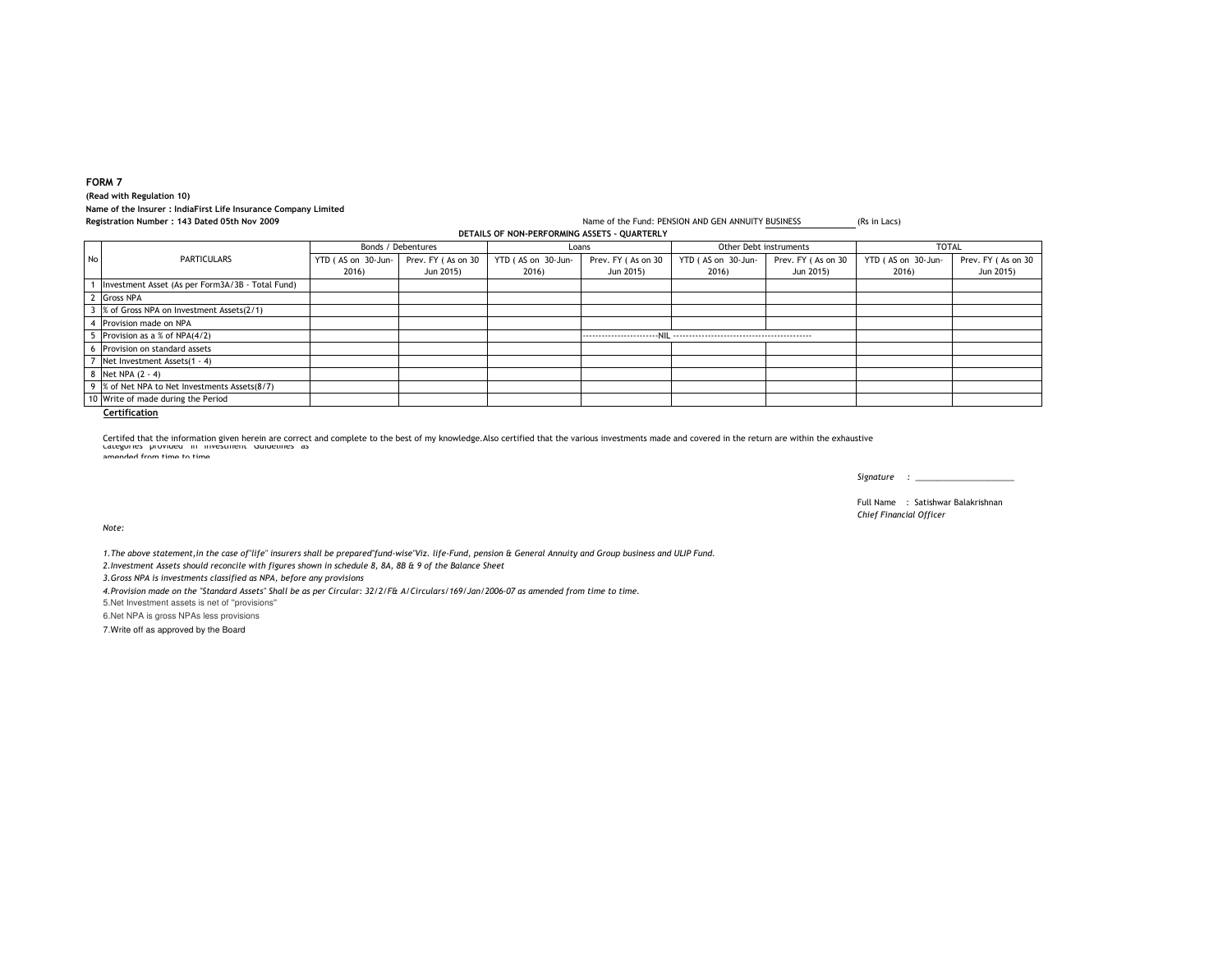## **FORM 7(Read with Regulation 10)**

**Name of the Insurer : IndiaFirst Life Insurance Company Limited**

**Registration Number : 143 Dated 05th Nov 2009DETAILS OF NON-PERFORMING ASSETS - QUARTERLY**

YTD ( AS on 30-Jun-2016) Prev. FY ( As on 30 Jun 2015) YTD ( AS on 30-Jun- 2016) Prev. FY ( As on 30 Jun 2015) YTD ( AS on 30-Jun- 2016) Prev. FY ( As on 30 Jun 2015) YTD ( AS on 30-Jun- 2016) Prev. FY ( As on 30 Jun 2015) <sup>1</sup> Investment Asset (As per Form3A/3B - Total Fund) <sup>2</sup> Gross NPA <sup>3</sup> % of Gross NPA on Investment Assets(2/1) <sup>4</sup> Provision made on NPA <sup>5</sup> Provision as a % of NPA(4/2) ------------------------NIL -------------------------------------------- <sup>6</sup> Provision on standard assets <sup>7</sup> Net Investment Assets(1 - 4) <sup>8</sup> Net NPA (2 - 4) 9 % of Net NPA to Net Investments Assets(8/7) <sup>10</sup> Write of made during the PeriodNo PARTICULARS Bonds / Debentures **Example 19 Loans** Debentures **Loans** Other Debt instruments **TOTAL**<br>1999-Jun- Prev. FY (As on 30 YTD (AS on 30-Jun- Prev. FY (As on 30 YTD (AS on 30-Jun- Prev. FY (As on 30 Jun- Prev. FY (As on 30 Jun-

Name of the Fund: PENSION AND GEN ANNUITY BUSINESS (Rs in Lacs)

**Certification**

categories provided in investment Guidelines as andad from time to time. Certifed that the information given herein are correct and complete to the best of my knowledge.Also certified that the various investments made and covered in the return are within the exhaustive

*Signature : \_\_\_\_\_\_\_\_\_\_\_\_\_\_\_\_\_\_\_\_\_\_*

Full Name : Satishwar Balakrishnan*Chief Financial Officer*

*Note:*

*1.The above statement,in the case of"life" insurers shall be prepared"fund-wise"Viz. life-Fund, pension & General Annuity and Group business and ULIP Fund.*

*2.Investment Assets should reconcile with figures shown in schedule 8, 8A, 8B & 9 of the Balance Sheet*

*3.Gross NPA is investments classified as NPA, before any provisions*

*4.Provision made on the "Standard Assets" Shall be as per Circular: 32/2/F& A/Circulars/169/Jan/2006-07 as amended from time to time.*

5.Net Investment assets is net of ''provisions''

6.Net NPA is gross NPAs less provisions

7.Write off as approved by the Board